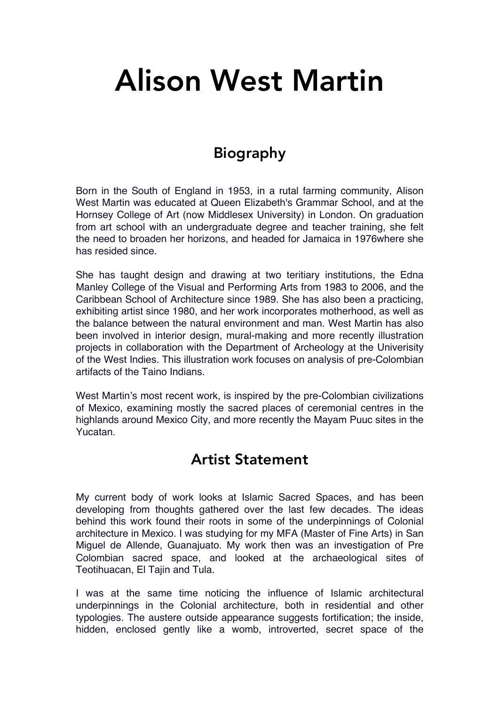# Alison West Martin

## Biography

Born in the South of England in 1953, in a rutal farming community, Alison West Martin was educated at Queen Elizabeth's Grammar School, and at the Hornsey College of Art (now Middlesex University) in London. On graduation from art school with an undergraduate degree and teacher training, she felt the need to broaden her horizons, and headed for Jamaica in 1976where she has resided since.

She has taught design and drawing at two teritiary institutions, the Edna Manley College of the Visual and Performing Arts from 1983 to 2006, and the Caribbean School of Architecture since 1989. She has also been a practicing, exhibiting artist since 1980, and her work incorporates motherhood, as well as the balance between the natural environment and man. West Martin has also been involved in interior design, mural-making and more recently illustration projects in collaboration with the Department of Archeology at the Univerisity of the West Indies. This illustration work focuses on analysis of pre-Colombian artifacts of the Taino Indians.

West Martin's most recent work, is inspired by the pre-Colombian civilizations of Mexico, examining mostly the sacred places of ceremonial centres in the highlands around Mexico City, and more recently the Mayam Puuc sites in the Yucatan.

#### Artist Statement

My current body of work looks at Islamic Sacred Spaces, and has been developing from thoughts gathered over the last few decades. The ideas behind this work found their roots in some of the underpinnings of Colonial architecture in Mexico. I was studying for my MFA (Master of Fine Arts) in San Miguel de Allende, Guanajuato. My work then was an investigation of Pre Colombian sacred space, and looked at the archaeological sites of Teotihuacan, El Tajin and Tula.

I was at the same time noticing the influence of Islamic architectural underpinnings in the Colonial architecture, both in residential and other typologies. The austere outside appearance suggests fortification; the inside, hidden, enclosed gently like a womb, introverted, secret space of the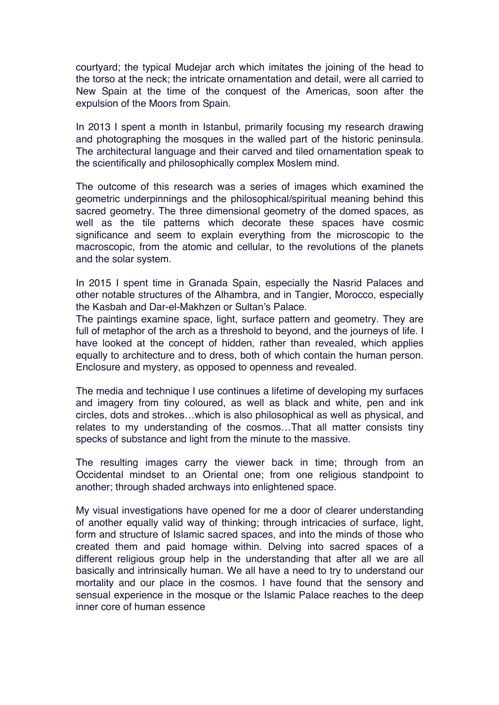courtyard; the typical Mudejar arch which imitates the joining of the head to the torso at the neck; the intricate ornamentation and detail, were all carried to New Spain at the time of the conquest of the Americas, soon after the expulsion of the Moors from Spain.

In 2013 I spent a month in Istanbul, primarily focusing my research drawing and photographing the mosques in the walled part of the historic peninsula. The architectural language and their carved and tiled ornamentation speak to the scientifically and philosophically complex Moslem mind.

The outcome of this research was a series of images which examined the geometric underpinnings and the philosophical/spiritual meaning behind this sacred geometry. The three dimensional geometry of the domed spaces, as well as the tile patterns which decorate these spaces have cosmic significance and seem to explain everything from the microscopic to the macroscopic, from the atomic and cellular, to the revolutions of the planets and the solar system.

In 2015 I spent time in Granada Spain, especially the Nasrid Palaces and other notable structures of the Alhambra, and in Tangier, Morocco, especially the Kasbah and Dar-el-Makhzen or Sultan's Palace.

The paintings examine space, light, surface pattern and geometry. They are full of metaphor of the arch as a threshold to beyond, and the journeys of life. I have looked at the concept of hidden, rather than revealed, which applies equally to architecture and to dress, both of which contain the human person. Enclosure and mystery, as opposed to openness and revealed.

The media and technique I use continues a lifetime of developing my surfaces and imagery from tiny coloured, as well as black and white, pen and ink circles, dots and strokes…which is also philosophical as well as physical, and relates to my understanding of the cosmos…That all matter consists tiny specks of substance and light from the minute to the massive.

The resulting images carry the viewer back in time; through from an Occidental mindset to an Oriental one; from one religious standpoint to another; through shaded archways into enlightened space.

My visual investigations have opened for me a door of clearer understanding of another equally valid way of thinking; through intricacies of surface, light, form and structure of Islamic sacred spaces, and into the minds of those who created them and paid homage within. Delving into sacred spaces of a different religious group help in the understanding that after all we are all basically and intrinsically human. We all have a need to try to understand our mortality and our place in the cosmos. I have found that the sensory and sensual experience in the mosque or the Islamic Palace reaches to the deep inner core of human essence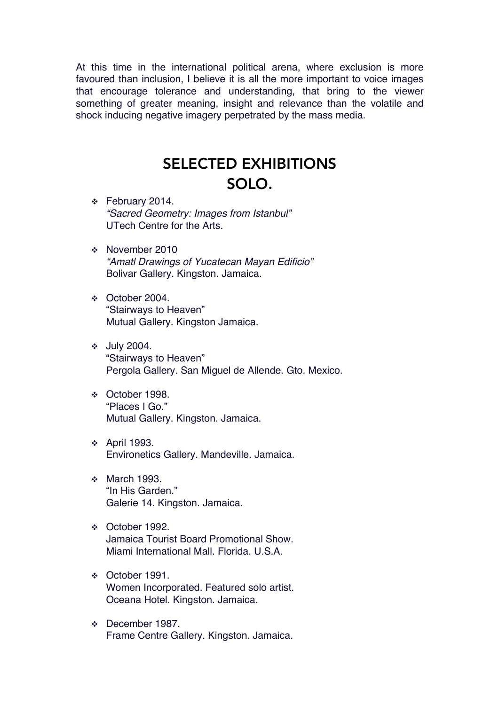At this time in the international political arena, where exclusion is more favoured than inclusion, I believe it is all the more important to voice images that encourage tolerance and understanding, that bring to the viewer something of greater meaning, insight and relevance than the volatile and shock inducing negative imagery perpetrated by the mass media.

## SELECTED EXHIBITIONS SOLO.

- $\div$  February 2014. *"Sacred Geometry: Images from Istanbul"* UTech Centre for the Arts.
- v November 2010 *"Amatl Drawings of Yucatecan Mayan Edificio"* Bolivar Gallery. Kingston. Jamaica.
- v October 2004. "Stairways to Heaven" Mutual Gallery. Kingston Jamaica.
- v July 2004. "Stairways to Heaven" Pergola Gallery. San Miguel de Allende. Gto. Mexico.
- v October 1998. "Places I Go." Mutual Gallery. Kingston. Jamaica.
- v April 1993. Environetics Gallery. Mandeville. Jamaica.
- **v** March 1993. "In His Garden." Galerie 14. Kingston. Jamaica.
- v October 1992. Jamaica Tourist Board Promotional Show. Miami International Mall. Florida. U.S.A.
- v October 1991. Women Incorporated. Featured solo artist. Oceana Hotel. Kingston. Jamaica.
- v December 1987. Frame Centre Gallery. Kingston. Jamaica.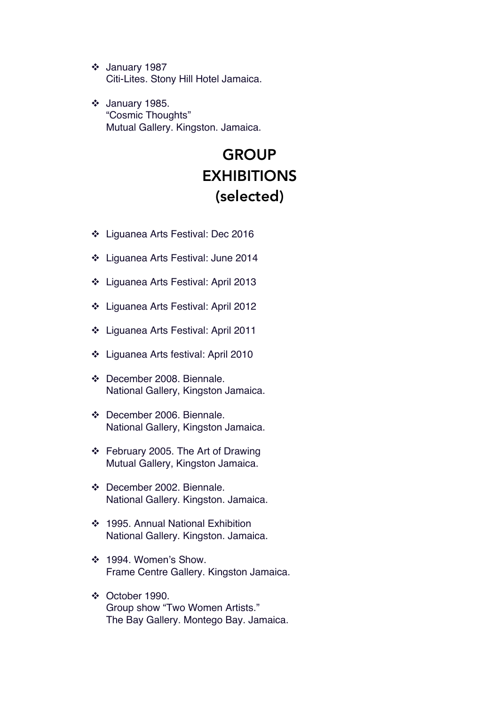$\div$  January 1987 Citi-Lites. Stony Hill Hotel Jamaica.

 $\div$  January 1985. "Cosmic Thoughts" Mutual Gallery. Kingston. Jamaica.

# **GROUP EXHIBITIONS** (selected)

- v Liguanea Arts Festival: Dec 2016
- v Liguanea Arts Festival: June 2014
- v Liguanea Arts Festival: April 2013
- v Liguanea Arts Festival: April 2012
- v Liguanea Arts Festival: April 2011
- v Liguanea Arts festival: April 2010
- v December 2008. Biennale. National Gallery, Kingston Jamaica.
- v December 2006. Biennale. National Gallery, Kingston Jamaica.
- $\div$  February 2005. The Art of Drawing Mutual Gallery, Kingston Jamaica.
- v December 2002. Biennale. National Gallery. Kingston. Jamaica.
- ❖ 1995. Annual National Exhibition National Gallery. Kingston. Jamaica.
- v 1994. Women's Show. Frame Centre Gallery. Kingston Jamaica.
- $\div$  October 1990. Group show "Two Women Artists." The Bay Gallery. Montego Bay. Jamaica.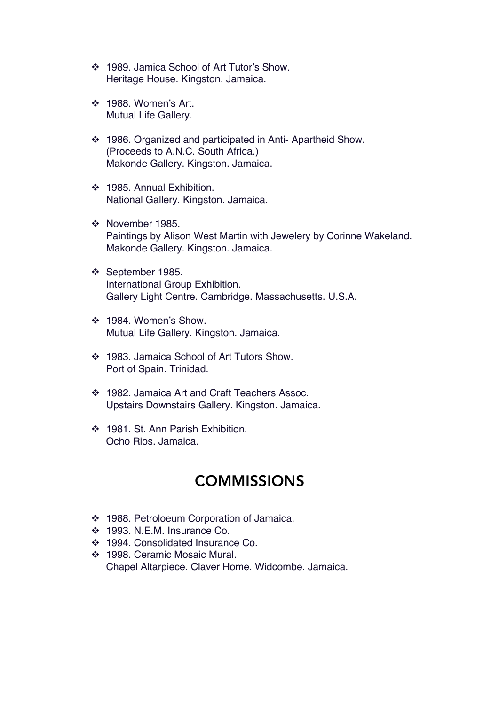- v 1989. Jamica School of Art Tutor's Show. Heritage House. Kingston. Jamaica.
- v 1988. Women's Art. Mutual Life Gallery.
- v 1986. Organized and participated in Anti- Apartheid Show. (Proceeds to A.N.C. South Africa.) Makonde Gallery. Kingston. Jamaica.
- v 1985. Annual Exhibition. National Gallery. Kingston. Jamaica.
- ❖ November 1985. Paintings by Alison West Martin with Jewelery by Corinne Wakeland. Makonde Gallery. Kingston. Jamaica.
- v September 1985. International Group Exhibition. Gallery Light Centre. Cambridge. Massachusetts. U.S.A.
- v 1984. Women's Show. Mutual Life Gallery. Kingston. Jamaica.
- v 1983. Jamaica School of Art Tutors Show. Port of Spain. Trinidad.
- v 1982. Jamaica Art and Craft Teachers Assoc. Upstairs Downstairs Gallery. Kingston. Jamaica.
- v 1981. St. Ann Parish Exhibition. Ocho Rios. Jamaica.

## **COMMISSIONS**

- v 1988. Petroloeum Corporation of Jamaica.
- v 1993. N.E.M. Insurance Co.
- v 1994. Consolidated Insurance Co.
- ◆ 1998. Ceramic Mosaic Mural. Chapel Altarpiece. Claver Home. Widcombe. Jamaica.